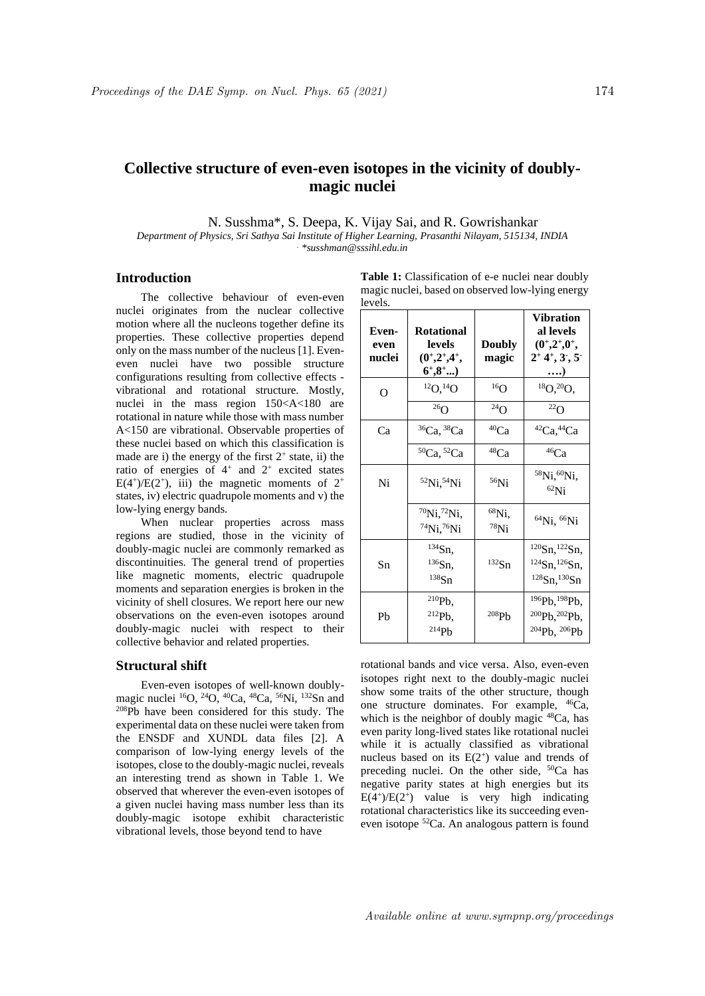## **Collective structure of even-even isotopes in the vicinity of doublymagic nuclei**

N. Susshma\*, S. Deepa, K. Vijay Sai, and R. Gowrishankar

*Department of Physics, Sri Sathya Sai Institute of Higher Learning, Prasanthi Nilayam, 515134, INDIA . \*susshman@sssihl.edu.in*

## **Introduction**

The collective behaviour of even-even nuclei originates from the nuclear collective motion where all the nucleons together define its properties. These collective properties depend only on the mass number of the nucleus [1]. Eveneven nuclei have two possible structure configurations resulting from collective effects vibrational and rotational structure. Mostly, nuclei in the mass region 150<A<180 are rotational in nature while those with mass number A<150 are vibrational. Observable properties of these nuclei based on which this classification is made are i) the energy of the first  $2^+$  state, ii) the ratio of energies of  $4^+$  and  $2^+$  excited states  $E(4^+)/E(2^+)$ , iii) the magnetic moments of  $2^+$ states, iv) electric quadrupole moments and v) the low-lying energy bands.

When nuclear properties across mass regions are studied, those in the vicinity of doubly-magic nuclei are commonly remarked as discontinuities. The general trend of properties like magnetic moments, electric quadrupole moments and separation energies is broken in the vicinity of shell closures. We report here our new observations on the even-even isotopes around doubly-magic nuclei with respect to their collective behavior and related properties.

## **Structural shift**

Even-even isotopes of well-known doublymagic nuclei  ${}^{16}O$ ,  ${}^{24}O$ ,  ${}^{40}Ca$ ,  ${}^{48}Ca$ ,  ${}^{56}Ni$ ,  ${}^{132}Sn$  and <sup>208</sup>Pb have been considered for this study. The experimental data on these nuclei were taken from the ENSDF and XUNDL data files [2]. A comparison of low-lying energy levels of the isotopes, close to the doubly-magic nuclei, reveals an interesting trend as shown in Table 1. We observed that wherever the even-even isotopes of a given nuclei having mass number less than its doubly-magic isotope exhibit characteristic vibrational levels, those beyond tend to have

| Table 1: Classification of e-e nuclei near doubly |
|---------------------------------------------------|
| magic nuclei, based on observed low-lying energy  |
| levels.                                           |

| Even-<br>even<br>nuclei | <b>Rotational</b><br>levels<br>$(0^{\dagger},2^{\dagger},4^{\dagger},$<br>$6^{\circ}, 8^{\circ}$ ) | <b>Doubly</b><br>magic | Vibration<br>al levels<br>$(0^{\dagger},2^{\dagger},0^{\dagger},$<br>$2+4+3, 3$<br>)                                   |
|-------------------------|----------------------------------------------------------------------------------------------------|------------------------|------------------------------------------------------------------------------------------------------------------------|
| O                       | $^{12}O, ^{14}O$                                                                                   | 16 <sub>O</sub>        | ${}^{18}O, {}^{20}O,$                                                                                                  |
|                         | $^{26}$ O                                                                                          | $^{24}$ O              | $^{22}$ O                                                                                                              |
| Ca                      | ${}^{36}Ca, {}^{38}Ca$                                                                             | $^{40}Ca$              | ${}^{42}Ca, {}^{44}Ca$                                                                                                 |
|                         | <sup>50</sup> Ca, <sup>52</sup> Ca                                                                 | 48Ca                   | 46Ca                                                                                                                   |
| Ni                      | ${}^{52}Ni, {}^{54}Ni$                                                                             | $56$ Ni                | <sup>58</sup> Ni, <sup>60</sup> Ni,<br>${}^{62}$ Ni                                                                    |
|                         | $^{70}$ Ni, $^{72}$ Ni,<br>$^{74}$ Ni, $^{76}$ Ni                                                  | $^{68}$ Ni,<br>$78$ Ni | ${}^{64}Ni, {}^{66}Ni$                                                                                                 |
| Sn                      | $^{134}Sn,$<br>$^{136}Sn,$<br>$138$ Sn                                                             | $132$ Sn               | $120$ Sn, $122$ Sn,<br>$124$ Sn, $126$ Sn,<br>$128$ Sn, $130$ Sn                                                       |
| Ph                      | $^{210}Pb,$<br>$^{212}Pb,$<br>214Pb                                                                | 208Pb                  | <sup>196</sup> Pb, <sup>198</sup> Pb,<br><sup>200</sup> Pb, <sup>202</sup> Pb,<br><sup>204</sup> Pb, <sup>206</sup> Pb |

rotational bands and vice versa. Also, even-even isotopes right next to the doubly-magic nuclei show some traits of the other structure, though one structure dominates. For example, <sup>46</sup>Ca, which is the neighbor of doubly magic  $48Ca$ , has even parity long-lived states like rotational nuclei while it is actually classified as vibrational nucleus based on its  $E(2^+)$  value and trends of preceding nuclei. On the other side, <sup>50</sup>Ca has negative parity states at high energies but its  $E(4^+)/E(2^+)$  value is very high indicating rotational characteristics like its succeeding eveneven isotope <sup>52</sup>Ca. An analogous pattern is found